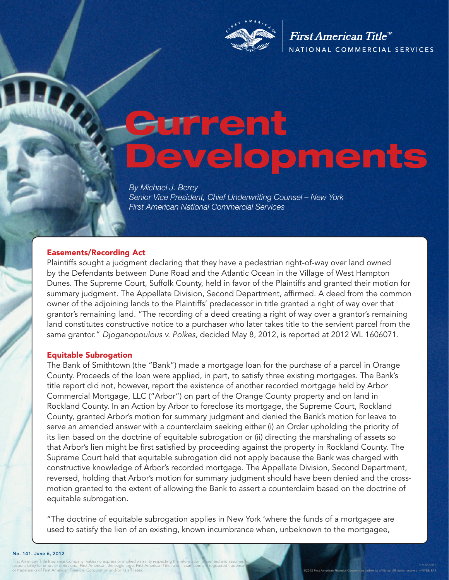

First American Title<sup>™</sup> NATIONAL COMMERCIAL SERVICES

# Current Developments

*By Michael J. Berey Senior Vice President, Chief Underwriting Counsel – New York First American National Commercial Services* 

#### Easements/Recording Act

Plaintiffs sought a judgment declaring that they have a pedestrian right-of-way over land owned by the Defendants between Dune Road and the Atlantic Ocean in the Village of West Hampton Dunes. The Supreme Court, Suffolk County, held in favor of the Plaintiffs and granted their motion for summary judgment. The Appellate Division, Second Department, affirmed. A deed from the common owner of the adjoining lands to the Plaintiffs' predecessor in title granted a right of way over that grantor's remaining land. "The recording of a deed creating a right of way over a grantor's remaining land constitutes constructive notice to a purchaser who later takes title to the servient parcel from the same grantor." *Djoganopoulous v. Polkes*, decided May 8, 2012, is reported at 2012 WL 1606071.

#### Equitable Subrogation

The Bank of Smithtown (the "Bank") made a mortgage loan for the purchase of a parcel in Orange County. Proceeds of the loan were applied, in part, to satisfy three existing mortgages. The Bank's title report did not, however, report the existence of another recorded mortgage held by Arbor Commercial Mortgage, LLC ("Arbor") on part of the Orange County property and on land in Rockland County. In an Action by Arbor to foreclose its mortgage, the Supreme Court, Rockland County, granted Arbor's motion for summary judgment and denied the Bank's motion for leave to serve an amended answer with a counterclaim seeking either (i) an Order upholding the priority of its lien based on the doctrine of equitable subrogation or (ii) directing the marshaling of assets so that Arbor's lien might be first satisfied by proceeding against the property in Rockland County. The Supreme Court held that equitable subrogation did not apply because the Bank was charged with constructive knowledge of Arbor's recorded mortgage. The Appellate Division, Second Department, reversed, holding that Arbor's motion for summary judgment should have been denied and the crossmotion granted to the extent of allowing the Bank to assert a counterclaim based on the doctrine of equitable subrogation.

"The doctrine of equitable subrogation applies in New York 'where the funds of a mortgagee are used to satisfy the lien of an existing, known incumbrance when, unbeknown to the mortgagee,

#### No. 141. June 6, 2012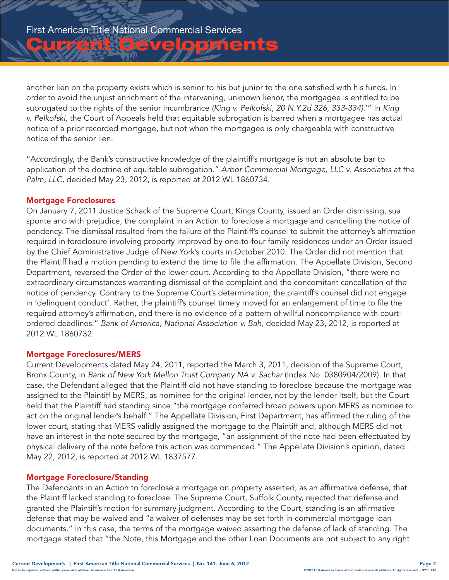<u>IUCRRDévelopments</u>

another lien on the property exists which is senior to his but junior to the one satisfied with his funds. In order to avoid the unjust enrichment of the intervening, unknown lienor, the mortgagee is entitled to be subrogated to the rights of the senior incumbrance *(King v. Pelkofski, 20 N.Y.2d 326, 333-334).*'" In *King v. Pelkofski,* the Court of Appeals held that equitable subrogation is barred when a mortgagee has actual notice of a prior recorded mortgage, but not when the mortgagee is only chargeable with constructive notice of the senior lien.

"Accordingly, the Bank's constructive knowledge of the plaintiff's mortgage is not an absolute bar to application of the doctrine of equitable subrogation." *Arbor Commercial Mortgage, LLC v. Associates at the Palm, LLC,* decided May 23, 2012, is reported at 2012 WL 1860734.

# Mortgage Foreclosures

On January 7, 2011 Justice Schack of the Supreme Court, Kings County, issued an Order dismissing, sua sponte and with prejudice, the complaint in an Action to foreclose a mortgage and cancelling the notice of pendency. The dismissal resulted from the failure of the Plaintiff's counsel to submit the attorney's affirmation required in foreclosure involving property improved by one-to-four family residences under an Order issued by the Chief Administrative Judge of New York's courts in October 2010. The Order did not mention that the Plaintiff had a motion pending to extend the time to file the affirmation. The Appellate Division, Second Department, reversed the Order of the lower court. According to the Appellate Division, "there were no extraordinary circumstances warranting dismissal of the complaint and the concomitant cancellation of the notice of pendency. Contrary to the Supreme Court's determination, the plaintiff's counsel did not engage in 'delinquent conduct'. Rather, the plaintiff's counsel timely moved for an enlargement of time to file the required attorney's affirmation, and there is no evidence of a pattern of willful noncompliance with courtordered deadlines." *Bank of America, National Association v. Bah,* decided May 23, 2012, is reported at 2012 WL 1860732.

## Mortgage Foreclosures/MERS

Current Developments dated May 24, 2011, reported the March 3, 2011, decision of the Supreme Court, Bronx County, in *Bank of New York Mellon Trust Company NA v. Sachar* (Index No. 0380904/2009). In that case, the Defendant alleged that the Plaintiff did not have standing to foreclose because the mortgage was assigned to the Plaintiff by MERS, as nominee for the original lender, not by the lender itself, but the Court held that the Plaintiff had standing since "the mortgage conferred broad powers upon MERS as nominee to act on the original lender's behalf." The Appellate Division, First Department, has affirmed the ruling of the lower court, stating that MERS validly assigned the mortgage to the Plaintiff and, although MERS did not have an interest in the note secured by the mortgage, "an assignment of the note had been effectuated by physical delivery of the note before this action was commenced." The Appellate Division's opinion, dated May 22, 2012, is reported at 2012 WL 1837577.

## Mortgage Foreclosure/Standing

The Defendants in an Action to foreclose a mortgage on property asserted, as an affirmative defense, that the Plaintiff lacked standing to foreclose. The Supreme Court, Suffolk County, rejected that defense and granted the Plaintiff's motion for summary judgment. According to the Court, standing is an affirmative defense that may be waived and "a waiver of defenses may be set forth in commercial mortgage loan documents." In this case, the terms of the mortgage waived asserting the defense of lack of standing. The mortgage stated that "the Note, this Mortgage and the other Loan Documents are not subject to any right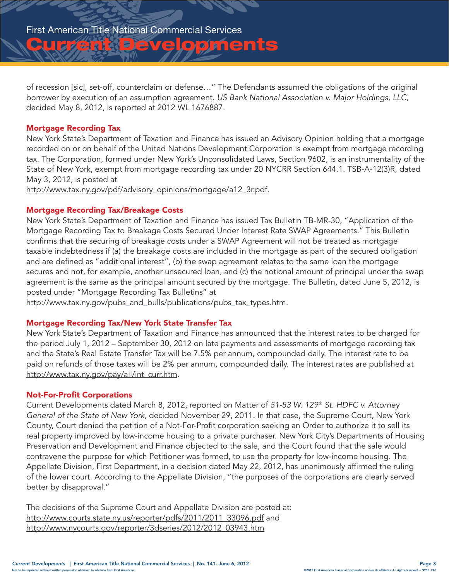<u>Id Christe Coloments</u>

of recession [sic], set-off, counterclaim or defense…" The Defendants assumed the obligations of the original borrower by execution of an assumption agreement. *US Bank National Association v. Major Holdings, LLC,*  decided May 8, 2012, is reported at 2012 WL 1676887.

# Mortgage Recording Tax

New York State's Department of Taxation and Finance has issued an Advisory Opinion holding that a mortgage recorded on or on behalf of the United Nations Development Corporation is exempt from mortgage recording tax. The Corporation, formed under New York's Unconsolidated Laws, Section 9602, is an instrumentality of the State of New York, exempt from mortgage recording tax under 20 NYCRR Section 644.1. TSB-A-12(3)R, dated May 3, 2012, is posted at

http://www.tax.ny.gov/pdf/advisory\_opinions/mortgage/a12\_3r.pdf.

# Mortgage Recording Tax/Breakage Costs

New York State's Department of Taxation and Finance has issued Tax Bulletin TB-MR-30, "Application of the Mortgage Recording Tax to Breakage Costs Secured Under Interest Rate SWAP Agreements." This Bulletin confirms that the securing of breakage costs under a SWAP Agreement will not be treated as mortgage taxable indebtedness if (a) the breakage costs are included in the mortgage as part of the secured obligation and are defined as "additional interest", (b) the swap agreement relates to the same loan the mortgage secures and not, for example, another unsecured loan, and (c) the notional amount of principal under the swap agreement is the same as the principal amount secured by the mortgage. The Bulletin, dated June 5, 2012, is posted under "Mortgage Recording Tax Bulletins" at

http://www.tax.ny.gov/pubs\_and\_bulls/publications/pubs\_tax\_types.htm.

## Mortgage Recording Tax/New York State Transfer Tax

New York State's Department of Taxation and Finance has announced that the interest rates to be charged for the period July 1, 2012 – September 30, 2012 on late payments and assessments of mortgage recording tax and the State's Real Estate Transfer Tax will be 7.5% per annum, compounded daily. The interest rate to be paid on refunds of those taxes will be 2% per annum, compounded daily. The interest rates are published at http://www.tax.ny.gov/pay/all/int\_curr.htm.

## Not-For-Profit Corporations

Current Developments dated March 8, 2012, reported on Matter of *51-53 W. 129th St. HDFC v. Attorney General of the State of New York*, decided November 29, 2011. In that case, the Supreme Court, New York County, Court denied the petition of a Not-For-Profit corporation seeking an Order to authorize it to sell its real property improved by low-income housing to a private purchaser. New York City's Departments of Housing Preservation and Development and Finance objected to the sale, and the Court found that the sale would contravene the purpose for which Petitioner was formed, to use the property for low-income housing. The Appellate Division, First Department, in a decision dated May 22, 2012, has unanimously affirmed the ruling of the lower court. According to the Appellate Division, "the purposes of the corporations are clearly served better by disapproval."

The decisions of the Supreme Court and Appellate Division are posted at: http://www.courts.state.ny.us/reporter/pdfs/2011/2011\_33096.pdf and http://www.nycourts.gov/reporter/3dseries/2012/2012\_03943.htm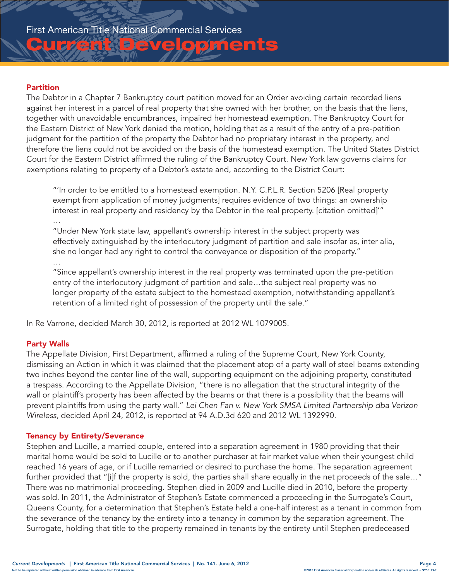# **Idérit de levelopments**

# Partition

The Debtor in a Chapter 7 Bankruptcy court petition moved for an Order avoiding certain recorded liens against her interest in a parcel of real property that she owned with her brother, on the basis that the liens, together with unavoidable encumbrances, impaired her homestead exemption. The Bankruptcy Court for the Eastern District of New York denied the motion, holding that as a result of the entry of a pre-petition judgment for the partition of the property the Debtor had no proprietary interest in the property, and therefore the liens could not be avoided on the basis of the homestead exemption. The United States District Court for the Eastern District affirmed the ruling of the Bankruptcy Court. New York law governs claims for exemptions relating to property of a Debtor's estate and, according to the District Court:

"'In order to be entitled to a homestead exemption. N.Y. C.P.L.R. Section 5206 [Real property exempt from application of money judgments] requires evidence of two things: an ownership interest in real property and residency by the Debtor in the real property. [citation omitted]'" …

"Under New York state law, appellant's ownership interest in the subject property was effectively extinguished by the interlocutory judgment of partition and sale insofar as, inter alia, she no longer had any right to control the conveyance or disposition of the property."

# …

"Since appellant's ownership interest in the real property was terminated upon the pre-petition entry of the interlocutory judgment of partition and sale…the subject real property was no longer property of the estate subject to the homestead exemption, notwithstanding appellant's retention of a limited right of possession of the property until the sale."

In Re Varrone, decided March 30, 2012, is reported at 2012 WL 1079005.

# Party Walls

The Appellate Division, First Department, affirmed a ruling of the Supreme Court, New York County, dismissing an Action in which it was claimed that the placement atop of a party wall of steel beams extending two inches beyond the center line of the wall, supporting equipment on the adjoining property, constituted a trespass. According to the Appellate Division, "there is no allegation that the structural integrity of the wall or plaintiff's property has been affected by the beams or that there is a possibility that the beams will prevent plaintiffs from using the party wall." *Lei Chen Fan v. New York SMSA Limited Partnership dba Verizon Wireless,* decided April 24, 2012, is reported at 94 A.D.3d 620 and 2012 WL 1392990.

# Tenancy by Entirety/Severance

Stephen and Lucille, a married couple, entered into a separation agreement in 1980 providing that their marital home would be sold to Lucille or to another purchaser at fair market value when their youngest child reached 16 years of age, or if Lucille remarried or desired to purchase the home. The separation agreement further provided that "[i]f the property is sold, the parties shall share equally in the net proceeds of the sale…" There was no matrimonial proceeding. Stephen died in 2009 and Lucille died in 2010, before the property was sold. In 2011, the Administrator of Stephen's Estate commenced a proceeding in the Surrogate's Court, Queens County, for a determination that Stephen's Estate held a one-half interest as a tenant in common from the severance of the tenancy by the entirety into a tenancy in common by the separation agreement. The Surrogate, holding that title to the property remained in tenants by the entirety until Stephen predeceased